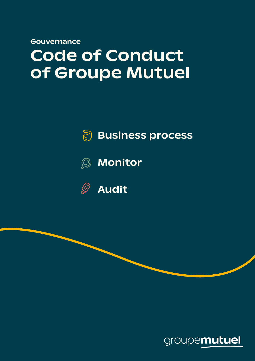Gouvernance

# Code of Conduct of Groupe Mutuel



### Business process







Audit

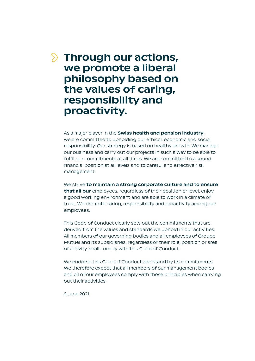#### **S** Through our actions, we promote a liberal philosophy based on the values of caring, responsibility and proactivity.

As a major player in the Swiss health and pension industry, we are committed to upholding our ethical, economic and social responsibility. Our strategy is based on healthy growth. We manage our business and carry out our projects in such a way to be able to fulfil our commitments at all times. We are committed to a sound financial position at all levels and to careful and effective risk management.

We strive to maintain a strong corporate culture and to ensure that all our employees, regardless of their position or level, enjoy a good working environment and are able to work in a climate of trust. We promote caring, responsibility and proactivity among our employees.

This Code of Conduct clearly sets out the commitments that are derived from the values and standards we uphold in our activities. All members of our governing bodies and all employees of Groupe Mutuel and its subsidiaries, regardless of their role, position or area of activity, shall comply with this Code of Conduct.

We endorse this Code of Conduct and stand by its commitments. We therefore expect that all members of our management bodies and all of our employees comply with these principles when carrying out their activities.

9 June 2021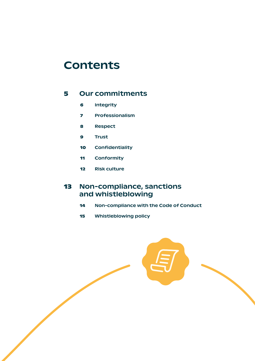#### **Contents**

#### [Our commitments](#page-4-0)

- Integrity
- Professionalism
- [Respect](#page-7-0)
- Trust
- Confidentiality
- Conformity
- Risk culture

#### Non-compliance, sanctions and whistleblowing

- Non-compliance with the Code of Conduct
- Whistleblowing policy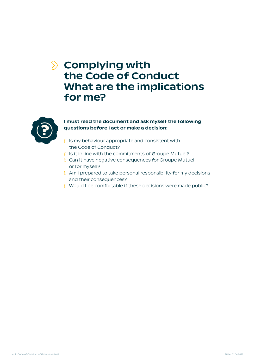#### $\Diamond$  Complying with the Code of Conduct What are the implications for me?



#### I must read the document and ask myself the following questions before I act or make a decision:

- $\delta$  Is my behaviour appropriate and consistent with the Code of Conduct?
- $\delta$  Is it in line with the commitments of Groupe Mutuel?
- **Example 2 Can it have negative consequences for Groupe Mutuel** or for myself?
- **EX Am I prepared to take personal responsibility for my decisions** and their consequences?
- **i** Would I be comfortable if these decisions were made public?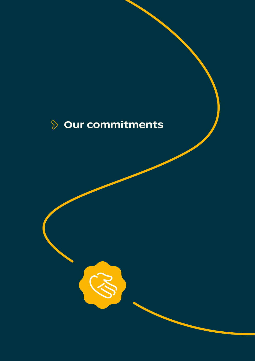# <span id="page-4-0"></span>**Dur commitments**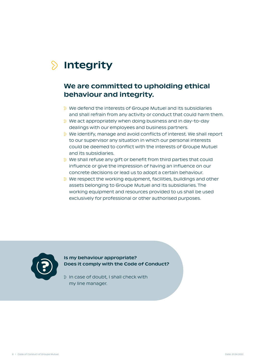# <span id="page-5-0"></span>**S** Integrity

#### We are committed to upholding ethical behaviour and integrity.

- We defend the interests of Groupe Mutuel and its subsidiaries and shall refrain from any activity or conduct that could harm them.
- We act appropriately when doing business and in day-to-day dealings with our employees and business partners.
- We identify, manage and avoid conflicts of interest. We shall report to our supervisor any situation in which our personal interests could be deemed to conflict with the interests of Groupe Mutuel and its subsidiaries.
- We shall refuse any gift or benefit from third parties that could influence or give the impression of having an influence on our concrete decisions or lead us to adopt a certain behaviour.
- $\Diamond$  We respect the working equipment, facilities, buildings and other assets belonging to Groupe Mutuel and its subsidiaries. The working equipment and resources provided to us shall be used exclusively for professional or other authorised purposes.



#### Is my behaviour appropriate? Does it comply with the Code of Conduct?

 $\Diamond$  In case of doubt, I shall check with my line manager.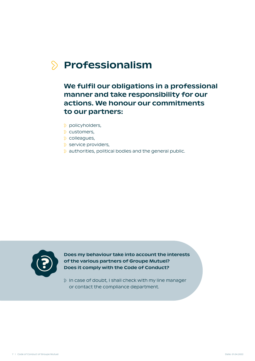### <span id="page-6-0"></span> $\Diamond$  Professionalism

#### We fulfil our obligations in a professional manner and take responsibility for our actions. We honour our commitments to our partners:

- policyholders,
- **⊘** customers,
- colleagues,
- $\delta$  service providers,
- authorities, political bodies and the general public.



Does my behaviour take into account the interests of the various partners of Groupe Mutuel? Does it comply with the Code of Conduct?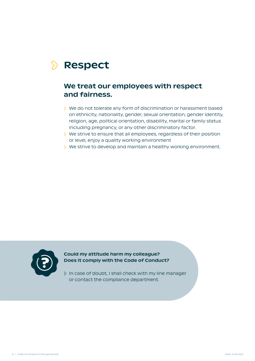# <span id="page-7-0"></span>**S** Respect

#### We treat our employees with respect and fairness.

- We do not tolerate any form of discrimination or harassment based on ethnicity, nationality, gender, sexual orientation, gender identity, religion, age, political orientation, disability, marital or family status including pregnancy, or any other discriminatory factor.
- We strive to ensure that all employees, regardless of their position or level, enjoy a quality working environment
- $\Diamond$  We strive to develop and maintain a healthy working environment.



Could my attitude harm my colleague? Does it comply with the Code of Conduct?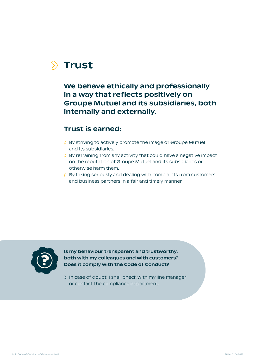# <span id="page-8-0"></span> $\delta$  Trust

We behave ethically and professionally in a way that reflects positively on Groupe Mutuel and its subsidiaries, both internally and externally.

#### Trust is earned:

- **By striving to actively promote the image of Groupe Mutuel** and its subsidiaries.
- **By refraining from any activity that could have a negative impact** on the reputation of Groupe Mutuel and its subsidiaries or otherwise harm them.
- $\delta$  By taking seriously and dealing with complaints from customers and business partners in a fair and timely manner.



Is my behaviour transparent and trustworthy, both with my colleagues and with customers? Does it comply with the Code of Conduct?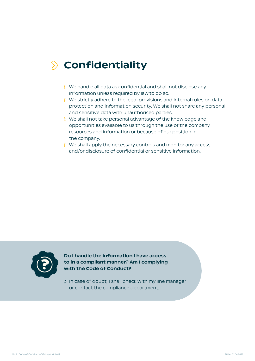## <span id="page-9-0"></span>**S** Confidentiality

- We handle all data as confidential and shall not disclose any information unless required by law to do so.
- **We strictly adhere to the legal provisions and internal rules on data** protection and information security. We shall not share any personal and sensitive data with unauthorised parties.
- **EX4** We shall not take personal advantage of the knowledge and opportunities available to us through the use of the company resources and information or because of our position in the company.
- $\Diamond$  We shall apply the necessary controls and monitor any access and/or disclosure of confidential or sensitive information.



Do I handle the information I have access to in a compliant manner? Am I complying with the Code of Conduct?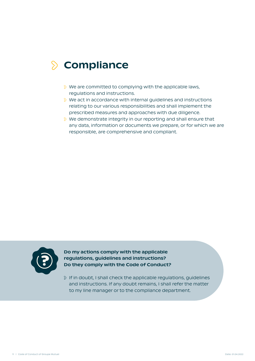### <span id="page-10-0"></span> $\Diamond$  Compliance

- $\Diamond$  We are committed to complying with the applicable laws, regulations and instructions.
- **EXECT** We act in accordance with internal guidelines and instructions relating to our various responsibilities and shall implement the prescribed measures and approaches with due diligence.
- **i** ≫ We demonstrate integrity in our reporting and shall ensure that any data, information or documents we prepare, or for which we are responsible, are comprehensive and compliant.



Do my actions comply with the applicable regulations, guidelines and instructions? Do they comply with the Code of Conduct?

 $\Diamond$  If in doubt, I shall check the applicable regulations, guidelines and instructions. If any doubt remains, I shall refer the matter to my line manager or to the compliance department.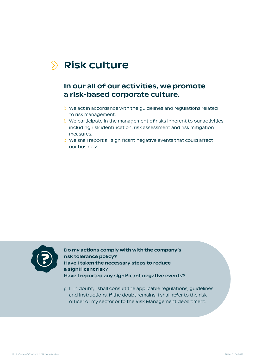# <span id="page-11-0"></span> $\Diamond$  Risk culture

#### In our all of our activities, we promote a risk-based corporate culture.

- **EXECT VIDED Action** We act in accordance with the guidelines and regulations related to risk management.
- **We participate in the management of risks inherent to our activities,** including risk identification, risk assessment and risk mitigation measures.
- We shall report all significant negative events that could affect our business.



Do my actions comply with with the company's risk tolerance policy? Have I taken the necessary steps to reduce a significant risk? Have I reported any significant negative events?

 $\Diamond$  If in doubt, I shall consult the applicable regulations, guidelines and instructions. If the doubt remains, I shall refer to the risk officer of my sector or to the Risk Management department.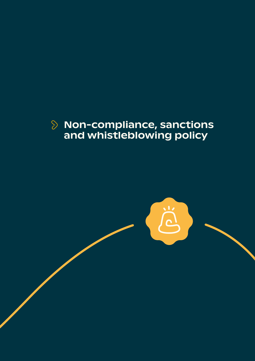#### <span id="page-12-0"></span>Non-compliance, sanctions and whistleblowing policy

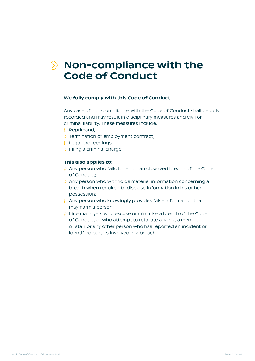### <span id="page-13-0"></span> $\Diamond$  Non-compliance with the Code of Conduct

#### We fully comply with this Code of Conduct.

Any case of non-compliance with the Code of Conduct shall be duly recorded and may result in disciplinary measures and civil or criminal liability. These measures include:

- $\Diamond$  Reprimand,
- $\Diamond$  Termination of employment contract,
- **E** Legal proceedings,
- **S** Filing a criminal charge.

#### This also applies to:

- Any person who fails to report an observed breach of the Code of Conduct;
- $\Diamond$  Any person who withholds material information concerning a breach when required to disclose information in his or her possession;
- $\Diamond$  Any person who knowingly provides false information that may harm a person;
- **EXECUTE:** Line managers who excuse or minimise a breach of the Code of Conduct or who attempt to retaliate against a member of staff or any other person who has reported an incident or identified parties involved in a breach.